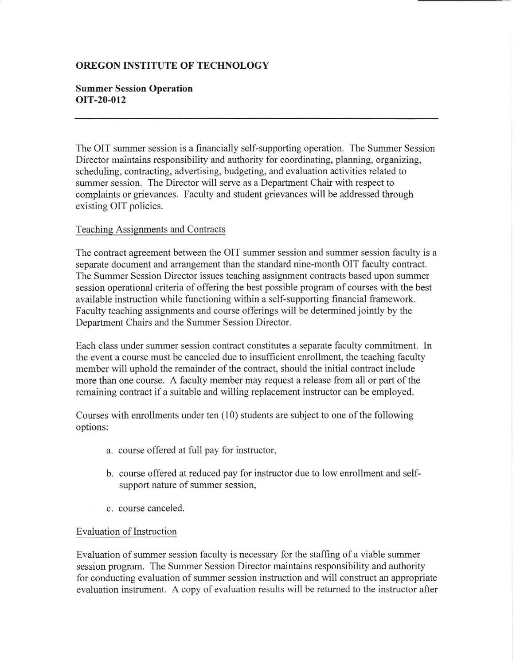## OREGON INSTITUTE OF TECHNOLOGY

## Summer Session Operation oIT-20-012

The OIT summer session is a financially self-supporting operation. The Summer Session Director maintains responsibility and authority for coordinating, planning, organizing, scheduling, contracting, advertising, budgeting, and evaluation activities related to summer session. The Director will serve as a Department Chair with respect to complaints or grievances. Faculty and student grievances will be addressed through existing OIT policies.

## Teaching Assignments and Contracts

The contract agreement between the OIT summer session and summer session faculty is a separate document and arrangement than the standard nine-month OIT faculty contract. The Summer Session Director issues teaching assignment contracts based upon suruner session operational criteria of offering the best possible program of courses with the best available instruction while functioning within a self-supporting financial framework. Faculty teaching assignments and course offerings will be determined jointly by the Department Chairs and the Summer Session Director.

Each class under summer session contract constitutes a separate faculty commitment. In the event a course must be canceled due to insufficient enrollment, the teaching faculty member will uphold the remainder of the contract, should the initial contract include more than one course. A faculty member may request a release from all or part of the remaining contract if a suitable and willing replacement instructor can be employed.

Courses with enrollments under ten  $(10)$  students are subject to one of the following options:

- a. course offered at full pay for instructor,
- b. course offered at reduced pay for instructor due to low enrollment and selfsupport nature of summer session,
- c. course canceled

## Evaluation of Instruction

Evaluation of summer session faculty is necessary for the staffing of a viable summer session program. The Summer Session Director maintains responsibility and authority for conducting evaluation of summer session instruction and will construct an appropriate evaluation instrument. A copy of evaluation results will be retumed to the instructor after